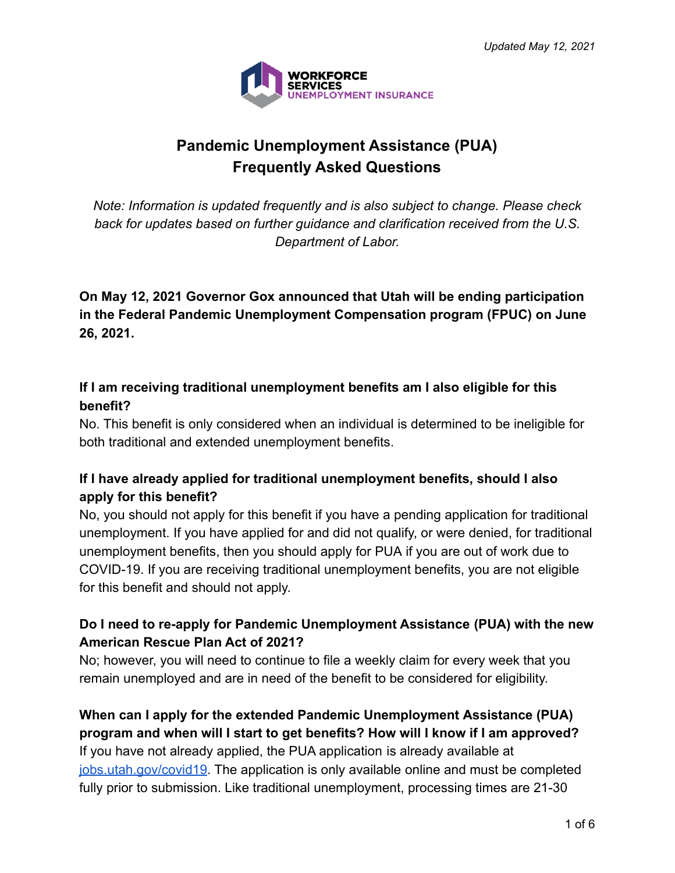

# **Pandemic Unemployment Assistance (PUA) Frequently Asked Questions**

*Note: Information is updated frequently and is also subject to change. Please check back for updates based on further guidance and clarification received from the U.S. Department of Labor.*

**On May 12, 2021 Governor Gox announced that Utah will be ending participation in the Federal Pandemic Unemployment Compensation program (FPUC) on June 26, 2021.**

#### **If I am receiving traditional unemployment benefits am I also eligible for this benefit?**

No. This benefit is only considered when an individual is determined to be ineligible for both traditional and extended unemployment benefits.

# **If I have already applied for traditional unemployment benefits, should I also apply for this benefit?**

No, you should not apply for this benefit if you have a pending application for traditional unemployment. If you have applied for and did not qualify, or were denied, for traditional unemployment benefits, then you should apply for PUA if you are out of work due to COVID-19. If you are receiving traditional unemployment benefits, you are not eligible for this benefit and should not apply.

# **Do I need to re-apply for Pandemic Unemployment Assistance (PUA) with the new American Rescue Plan Act of 2021?**

No; however, you will need to continue to file a weekly claim for every week that you remain unemployed and are in need of the benefit to be considered for eligibility.

#### **When can I apply for the extended Pandemic Unemployment Assistance (PUA) program and when will I start to get benefits? How will I know if I am approved?**

If you have not already applied, the PUA application is already available at [jobs.utah.gov/covid19](https://jobs.utah.gov/covid19/index.html). The application is only available online and must be completed fully prior to submission. Like traditional unemployment, processing times are 21-30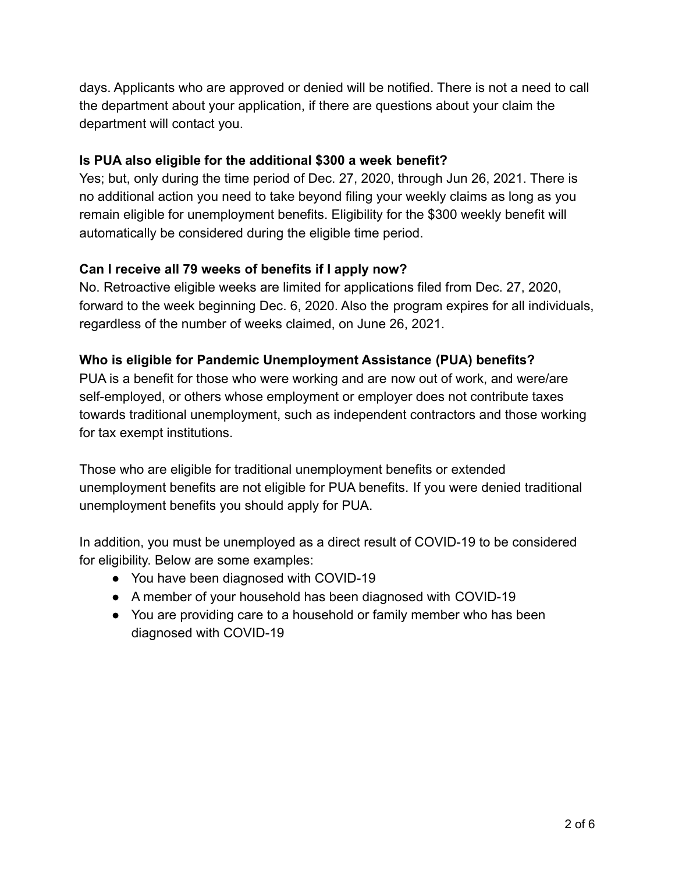days. Applicants who are approved or denied will be notified. There is not a need to call the department about your application, if there are questions about your claim the department will contact you.

#### **Is PUA also eligible for the additional \$300 a week benefit?**

Yes; but, only during the time period of Dec. 27, 2020, through Jun 26, 2021. There is no additional action you need to take beyond filing your weekly claims as long as you remain eligible for unemployment benefits. Eligibility for the \$300 weekly benefit will automatically be considered during the eligible time period.

#### **Can I receive all 79 weeks of benefits if I apply now?**

No. Retroactive eligible weeks are limited for applications filed from Dec. 27, 2020, forward to the week beginning Dec. 6, 2020. Also the program expires for all individuals, regardless of the number of weeks claimed, on June 26, 2021.

#### **Who is eligible for Pandemic Unemployment Assistance (PUA) benefits?**

PUA is a benefit for those who were working and are now out of work, and were/are self-employed, or others whose employment or employer does not contribute taxes towards traditional unemployment, such as independent contractors and those working for tax exempt institutions.

Those who are eligible for traditional unemployment benefits or extended unemployment benefits are not eligible for PUA benefits. If you were denied traditional unemployment benefits you should apply for PUA.

In addition, you must be unemployed as a direct result of COVID-19 to be considered for eligibility. Below are some examples:

- You have been diagnosed with COVID-19
- A member of your household has been diagnosed with COVID-19
- You are providing care to a household or family member who has been diagnosed with COVID-19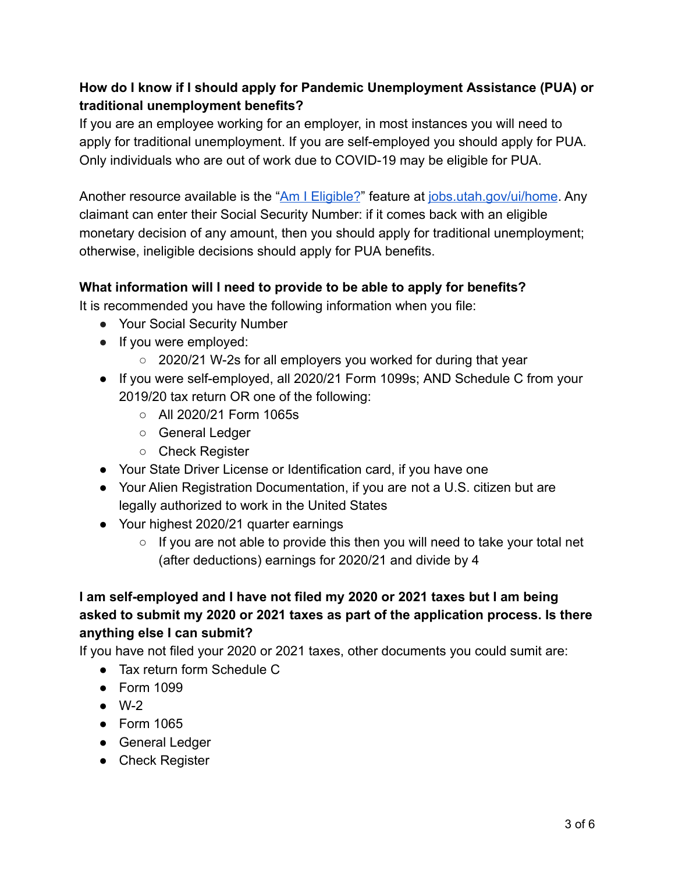# **How do I know if I should apply for Pandemic Unemployment Assistance (PUA) or traditional unemployment benefits?**

If you are an employee working for an employer, in most instances you will need to apply for traditional unemployment. If you are self-employed you should apply for PUA. Only individuals who are out of work due to COVID-19 may be eligible for PUA.

Another resource available is the "[Am I Eligible?](https://jobs.utah.gov/ui/home/Home/UiEligible)" feature at [jobs.utah.gov/ui/home](https://jobs.utah.gov/ui/home). Any claimant can enter their Social Security Number: if it comes back with an eligible monetary decision of any amount, then you should apply for traditional unemployment; otherwise, ineligible decisions should apply for PUA benefits.

#### **What information will I need to provide to be able to apply for benefits?**

It is recommended you have the following information when you file:

- Your Social Security Number
- If you were employed:
	- 2020/21 W-2s for all employers you worked for during that year
- If you were self-employed, all 2020/21 Form 1099s; AND Schedule C from your 2019/20 tax return OR one of the following:
	- $\circ$  All 2020/21 Form 1065s
	- General Ledger
	- Check Register
- Your State Driver License or Identification card, if you have one
- Your Alien Registration Documentation, if you are not a U.S. citizen but are legally authorized to work in the United States
- Your highest 2020/21 quarter earnings
	- If you are not able to provide this then you will need to take your total net (after deductions) earnings for 2020/21 and divide by 4

# **I am self-employed and I have not filed my 2020 or 2021 taxes but I am being asked to submit my 2020 or 2021 taxes as part of the application process. Is there anything else I can submit?**

If you have not filed your 2020 or 2021 taxes, other documents you could sumit are:

- Tax return form Schedule C
- Form 1099
- $\bullet$  W-2
- Form 1065
- General Ledger
- Check Register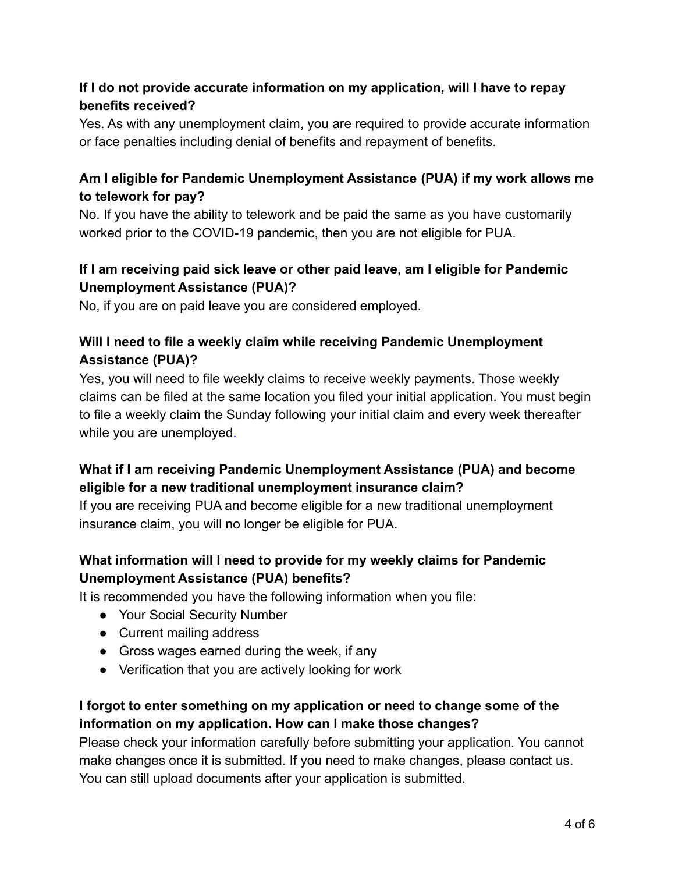## **If I do not provide accurate information on my application, will I have to repay benefits received?**

Yes. As with any unemployment claim, you are required to provide accurate information or face penalties including denial of benefits and repayment of benefits.

## **Am I eligible for Pandemic Unemployment Assistance (PUA) if my work allows me to telework for pay?**

No. If you have the ability to telework and be paid the same as you have customarily worked prior to the COVID-19 pandemic, then you are not eligible for PUA.

# **If I am receiving paid sick leave or other paid leave, am I eligible for Pandemic Unemployment Assistance (PUA)?**

No, if you are on paid leave you are considered employed.

# **Will I need to file a weekly claim while receiving Pandemic Unemployment Assistance (PUA)?**

Yes, you will need to file weekly claims to receive weekly payments. Those weekly claims can be filed at the same location you filed your initial application. You must begin to file a weekly claim the Sunday following your initial claim and every week thereafter while you are unemployed.

# **What if I am receiving Pandemic Unemployment Assistance (PUA) and become eligible for a new traditional unemployment insurance claim?**

If you are receiving PUA and become eligible for a new traditional unemployment insurance claim, you will no longer be eligible for PUA.

# **What information will I need to provide for my weekly claims for Pandemic Unemployment Assistance (PUA) benefits?**

It is recommended you have the following information when you file:

- Your Social Security Number
- Current mailing address
- Gross wages earned during the week, if any
- Verification that you are actively looking for work

# **I forgot to enter something on my application or need to change some of the information on my application. How can I make those changes?**

Please check your information carefully before submitting your application. You cannot make changes once it is submitted. If you need to make changes, please contact us. You can still upload documents after your application is submitted.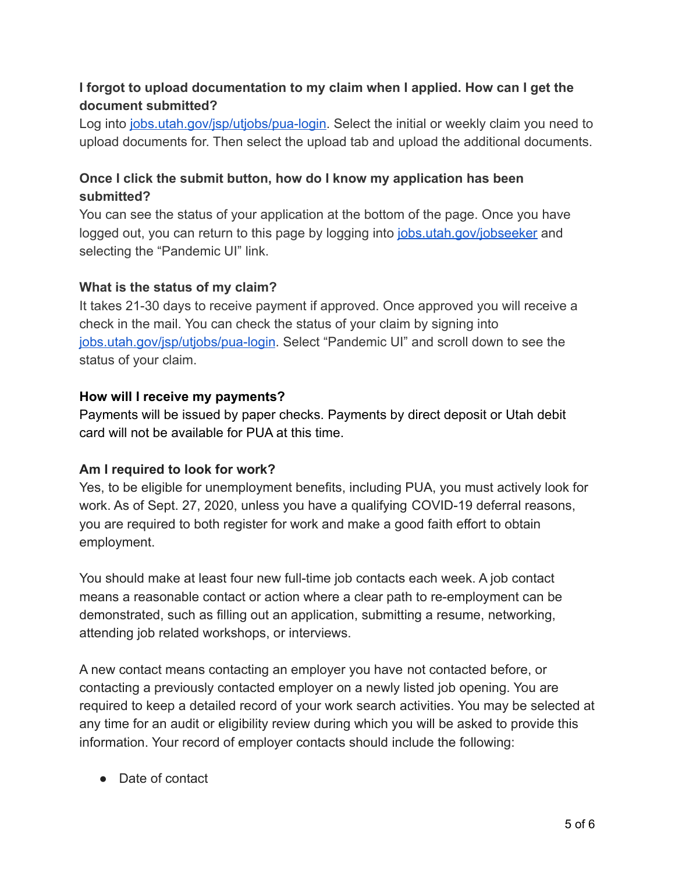#### **I forgot to upload documentation to my claim when I applied. How can I get the document submitted?**

Log into [jobs.utah.gov/jsp/utjobs/pua-login](https://jobs.utah.gov/jsp/utjobs/pua-login). Select the initial or weekly claim you need to upload documents for. Then select the upload tab and upload the additional documents.

# **Once I click the submit button, how do I know my application has been submitted?**

You can see the status of your application at the bottom of the page. Once you have logged out, you can return to this page by logging into [jobs.utah.gov/jobseeker](https://jobs.utah.gov/jobseeker/index.html) and selecting the "Pandemic UI" link.

#### **What is the status of my claim?**

It takes 21-30 days to receive payment if approved. Once approved you will receive a check in the mail. You can check the status of your claim by signing into [jobs.utah.gov/jsp/utjobs/pua-login](https://jobs.utah.gov/jsp/utjobs/pua-login). Select "Pandemic UI" and scroll down to see the status of your claim.

#### **How will I receive my payments?**

Payments will be issued by paper checks. Payments by [direct deposit](https://jobs.utah.gov/ui/forms/form682.pdf) or Utah debit card will not be available for PUA at this time.

#### **Am I required to look for work?**

Yes, to be eligible for unemployment benefits, including PUA, you must actively look for work. As of Sept. 27, 2020, unless you have a qualifying COVID-19 deferral reasons, you are required to both register for work and make a good faith effort to obtain employment.

You should make at least four new full-time job contacts each week. A job contact means a reasonable contact or action where a clear path to re-employment can be demonstrated, such as filling out an application, submitting a resume, networking, attending job related workshops, or interviews.

A new contact means contacting an employer you have not contacted before, or contacting a previously contacted employer on a newly listed job opening. You are required to keep a detailed record of your work search activities. You may be selected at any time for an audit or eligibility review during which you will be asked to provide this information. Your record of employer contacts should include the following:

● Date of contact